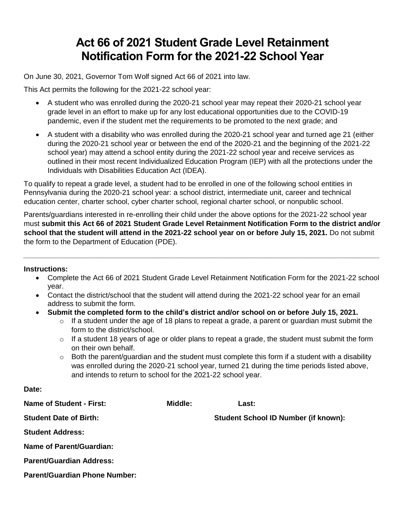## **Act 66 of 2021 Student Grade Level Retainment Notification Form for the 2021-22 School Year**

On June 30, 2021, Governor Tom Wolf signed Act 66 of 2021 into law.

This Act permits the following for the 2021-22 school year:

- A student who was enrolled during the 2020-21 school year may repeat their 2020-21 school year grade level in an effort to make up for any lost educational opportunities due to the COVID-19 pandemic, even if the student met the requirements to be promoted to the next grade; and
- A student with a disability who was enrolled during the 2020-21 school year and turned age 21 (either during the 2020-21 school year or between the end of the 2020-21 and the beginning of the 2021-22 school year) may attend a school entity during the 2021-22 school year and receive services as outlined in their most recent Individualized Education Program (IEP) with all the protections under the Individuals with Disabilities Education Act (IDEA).

To qualify to repeat a grade level, a student had to be enrolled in one of the following school entities in Pennsylvania during the 2020-21 school year: a school district, intermediate unit, career and technical education center, charter school, cyber charter school, regional charter school, or nonpublic school.

Parents/guardians interested in re-enrolling their child under the above options for the 2021-22 school year must **submit this Act 66 of 2021 Student Grade Level Retainment Notification Form to the district and/or school that the student will attend in the 2021-22 school year on or before July 15, 2021.** Do not submit the form to the Department of Education (PDE).

*\_\_\_\_\_\_\_\_\_\_\_\_\_\_\_\_\_\_\_\_\_\_\_\_\_\_\_\_\_\_\_\_\_\_\_\_\_\_\_\_\_\_\_\_\_\_\_\_\_\_\_\_\_\_\_\_\_\_\_\_\_\_\_\_\_\_\_\_\_\_\_\_\_\_\_\_\_\_\_\_\_\_\_\_\_\_\_\_*

## **Instructions:**

**Date:**

- Complete the Act 66 of 2021 Student Grade Level Retainment Notification Form for the 2021-22 school year.
- Contact the district/school that the student will attend during the 2021-22 school year for an email address to submit the form.
- **Submit the completed form to the child's district and/or school on or before July 15, 2021.**
	- $\circ$  If a student under the age of 18 plans to repeat a grade, a parent or guardian must submit the form to the district/school.
	- $\circ$  If a student 18 years of age or older plans to repeat a grade, the student must submit the form on their own behalf.
	- $\circ$  Both the parent/guardian and the student must complete this form if a student with a disability was enrolled during the 2020-21 school year, turned 21 during the time periods listed above, and intends to return to school for the 2021-22 school year.

| Name of Student - First:             | Middle: | Last:                                       |
|--------------------------------------|---------|---------------------------------------------|
| <b>Student Date of Birth:</b>        |         | <b>Student School ID Number (if known):</b> |
| <b>Student Address:</b>              |         |                                             |
| Name of Parent/Guardian:             |         |                                             |
| <b>Parent/Guardian Address:</b>      |         |                                             |
| <b>Parent/Guardian Phone Number:</b> |         |                                             |